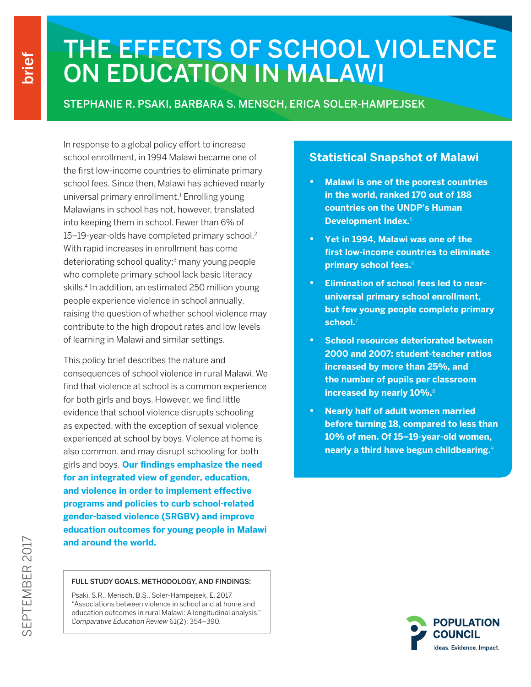# THE EFFECTS OF SCHOOL VIOLENCE ON EDUCATION IN MALAWI

### STEPHANIE R. PSAKI, BARBARA S. MENSCH, ERICA SOLER-HAMPEJSEK

In response to a global policy effort to increase school enrollment, in 1994 Malawi became one of the first low-income countries to eliminate primary school fees. Since then, Malawi has achieved nearly universal primary enrollment.<sup>1</sup> Enrolling young Malawians in school has not, however, translated into keeping them in school. Fewer than 6% of 15–19-year-olds have completed primary school.2 With rapid increases in enrollment has come deteriorating school quality;<sup>3</sup> many young people who complete primary school lack basic literacy skills.<sup>4</sup> In addition, an estimated 250 million young people experience violence in school annually, raising the question of whether school violence may contribute to the high dropout rates and low levels of learning in Malawi and similar settings.

This policy brief describes the nature and consequences of school violence in rural Malawi. We find that violence at school is a common experience for both girls and boys. However, we find little evidence that school violence disrupts schooling as expected, with the exception of sexual violence experienced at school by boys. Violence at home is also common, and may disrupt schooling for both girls and boys. **Our findings emphasize the need for an integrated view of gender, education, and violence in order to implement effective programs and policies to curb school-related gender-based violence (SRGBV) and improve education outcomes for young people in Malawi and around the world.** 

#### FULL STUDY GOALS, METHODOLOGY, AND FINDINGS:

Psaki, S.R., Mensch, B.S., Soler-Hampejsek, E. 2017. "Associations between violence in school and at home and education outcomes in rural Malawi: A longitudinal analysis." *Comparative Education Review* 61(2): 354–390.

#### **Statistical Snapshot of Malawi**

- **• Malawi is one of the poorest countries in the world, ranked 170 out of 188 countries on the UNDP's Human Development Index.**<sup>5</sup>
- **• Yet in 1994, Malawi was one of the first low-income countries to eliminate primary school fees.**<sup>6</sup>
- **• Elimination of school fees led to nearuniversal primary school enrollment, but few young people complete primary school.**<sup>7</sup>
- **• School resources deteriorated between 2000 and 2007: student-teacher ratios increased by more than 25%, and the number of pupils per classroom increased by nearly 10%.**<sup>8</sup>
- **• Nearly half of adult women married before turning 18, compared to less than 10% of men. Of 15–19-year-old women, nearly a third have begun childbearing.**<sup>9</sup>

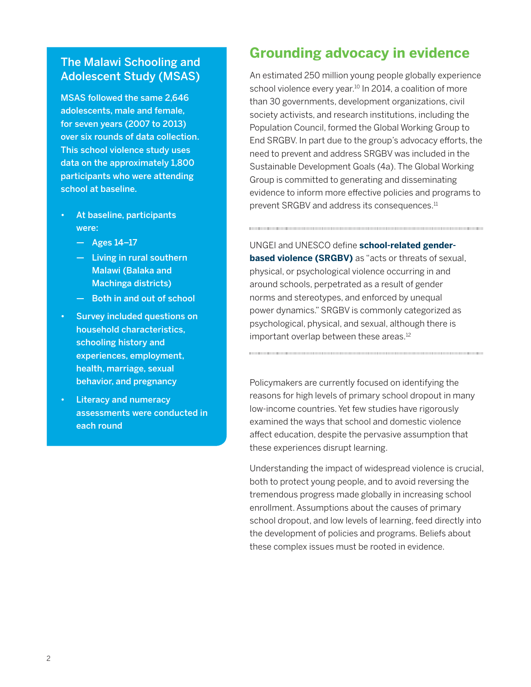#### The Malawi Schooling and Adolescent Study (MSAS)

MSAS followed the same 2,646 adolescents, male and female, for seven years (2007 to 2013) over six rounds of data collection. This school violence study uses data on the approximately 1,800 participants who were attending school at baseline.

- At baseline, participants were:
	- Ages 14–17
	- Living in rural southern Malawi (Balaka and Machinga districts)
	- Both in and out of school
- Survey included questions on household characteristics, schooling history and experiences, employment, health, marriage, sexual behavior, and pregnancy
- **Literacy and numeracy** assessments were conducted in each round

## **Grounding advocacy in evidence**

An estimated 250 million young people globally experience school violence every year.<sup>10</sup> In 2014, a coalition of more than 30 governments, development organizations, civil society activists, and research institutions, including the Population Council, formed the Global Working Group to End SRGBV. In part due to the group's advocacy efforts, the need to prevent and address SRGBV was included in the Sustainable Development Goals (4a). The Global Working Group is committed to generating and disseminating evidence to inform more effective policies and programs to prevent SRGBV and address its consequences.<sup>11</sup>

UNGEI and UNESCO define **school-related genderbased violence (SRGBV)** as "acts or threats of sexual, physical, or psychological violence occurring in and around schools, perpetrated as a result of gender norms and stereotypes, and enforced by unequal power dynamics." SRGBV is commonly categorized as psychological, physical, and sexual, although there is important overlap between these areas.<sup>12</sup>

Policymakers are currently focused on identifying the reasons for high levels of primary school dropout in many low-income countries. Yet few studies have rigorously examined the ways that school and domestic violence affect education, despite the pervasive assumption that these experiences disrupt learning.

Understanding the impact of widespread violence is crucial, both to protect young people, and to avoid reversing the tremendous progress made globally in increasing school enrollment. Assumptions about the causes of primary school dropout, and low levels of learning, feed directly into the development of policies and programs. Beliefs about these complex issues must be rooted in evidence.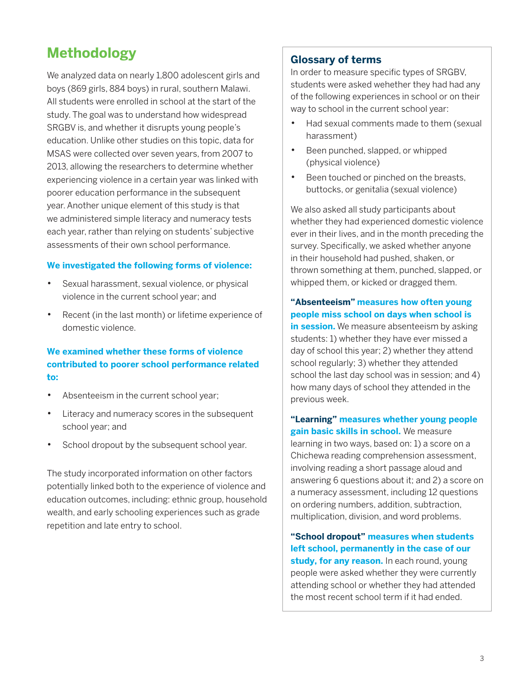## **Methodology**

We analyzed data on nearly 1,800 adolescent girls and boys (869 girls, 884 boys) in rural, southern Malawi. All students were enrolled in school at the start of the study. The goal was to understand how widespread SRGBV is, and whether it disrupts young people's education. Unlike other studies on this topic, data for MSAS were collected over seven years, from 2007 to 2013, allowing the researchers to determine whether experiencing violence in a certain year was linked with poorer education performance in the subsequent year. Another unique element of this study is that we administered simple literacy and numeracy tests each year, rather than relying on students' subjective assessments of their own school performance.

#### **We investigated the following forms of violence:**

- Sexual harassment, sexual violence, or physical violence in the current school year; and
- Recent (in the last month) or lifetime experience of domestic violence.

#### **We examined whether these forms of violence contributed to poorer school performance related to:**

- Absenteeism in the current school year;
- Literacy and numeracy scores in the subsequent school year; and
- School dropout by the subsequent school year.

The study incorporated information on other factors potentially linked both to the experience of violence and education outcomes, including: ethnic group, household wealth, and early schooling experiences such as grade repetition and late entry to school.

#### **Glossary of terms**

In order to measure specific types of SRGBV, students were asked wehether they had had any of the following experiences in school or on their way to school in the current school year:

- Had sexual comments made to them (sexual harassment)
- • Been punched, slapped, or whipped (physical violence)
- Been touched or pinched on the breasts, buttocks, or genitalia (sexual violence)

We also asked all study participants about whether they had experienced domestic violence ever in their lives, and in the month preceding the survey. Specifically, we asked whether anyone in their household had pushed, shaken, or thrown something at them, punched, slapped, or whipped them, or kicked or dragged them.

**"Absenteeism" measures how often young people miss school on days when school is in session.** We measure absenteeism by asking students: 1) whether they have ever missed a day of school this year; 2) whether they attend school regularly; 3) whether they attended school the last day school was in session; and 4) how many days of school they attended in the previous week.

**"Learning" measures whether young people gain basic skills in school.** We measure learning in two ways, based on: 1) a score on a Chichewa reading comprehension assessment, involving reading a short passage aloud and answering 6 questions about it; and 2) a score on a numeracy assessment, including 12 questions on ordering numbers, addition, subtraction, multiplication, division, and word problems.

**"School dropout" measures when students left school, permanently in the case of our**  study, for any reason. In each round, young people were asked whether they were currently attending school or whether they had attended the most recent school term if it had ended.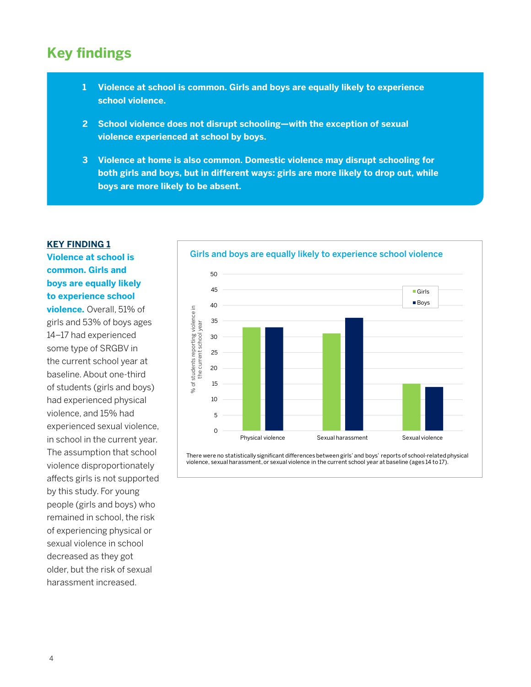### **Key findings**

- **1 Violence at school is common. Girls and boys are equally likely to experience school violence.**
- **2 School violence does not disrupt schooling—with the exception of sexual violence experienced at school by boys.**
- **3 Violence at home is also common. Domestic violence may disrupt schooling for both girls and boys, but in different ways: girls are more likely to drop out, while boys are more likely to be absent.**

#### **KEY FINDING 1**

**Violence at school is common. Girls and boys are equally likely to experience school** 

**violence.** Overall, 51% of girls and 53% of boys ages 14–17 had experienced some type of SRGBV in the current school year at baseline. About one-third of students (girls and boys) had experienced physical violence, and 15% had experienced sexual violence, in school in the current year. The assumption that school violence disproportionately affects girls is not supported by this study. For young people (girls and boys) who remained in school, the risk of experiencing physical or sexual violence in school decreased as they got older, but the risk of sexual harassment increased.



There were no statistically significant differences between girls' and boys' reports of school-related physical violence, sexual harassment, or sexual violence in the current school year at baseline (ages 14 to 17).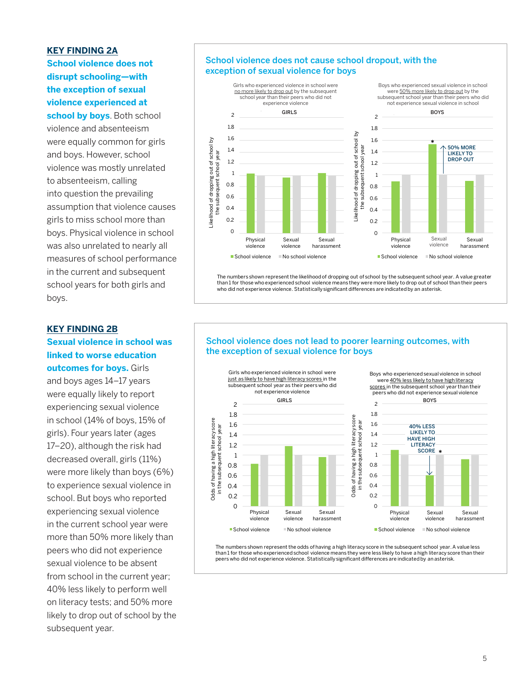#### **KEY FINDING 2A**

**School violence does not disrupt schooling—with the exception of sexual violence experienced at** Girls who experienced violence in school were school year than their peers who did not

school by boys. Both school violence and absenteeism were equally common for girls and boys. However, school violence was mostly unrelated to absenteeism, calling into question the prevailing assumption that violence causes 0.4 girls to miss school more than boys. Physical violence in school was also unrelated to nearly all measures of school performance in the current and subsequent school years for both girls and boys. harassment e<br>Cikelihood of dropping of the condition<br>to )<br>e<br>ik

#### **KEY FINDING 2B**

#### **Sexual violence in school was linked to worse education outcomes for boys.** Girls

and boys ages 14–17 years were equally likely to report experiencing sexual violence in school (14% of boys, 15% of girls). Four years later (ages 17–20), although the risk had decreased overall, girls (11%) were more likely than boys (6%) to experience sexual violence in school. But boys who reported experiencing sexual violence in the current school year were more than 50% more likely than peers who did not experience sexual violence to be absent from school in the current year; 40% less likely to perform well on literacy tests; and 50% more likely to drop out of school by the subsequent year.

#### School violence does not cause school dropout, with the exception of sexual violence for boys



Currieric and SubSequent environment of the numbers shown represent the likelihood of dropping out of school by the subsequent school year. A value greater voors for both original for those who experienced school vidence means they were more likely to drop out of school than their peers year's 101 DOLLE BITIS and the second the experience violence. Statistically significant differences are indicated by an asterisk. who did not experience violence violences. Statistically significant differences are indicated by an asteristic

#### School violence does not lead to poorer learning outcomes, with the exception of sexual violence for boys



The numbers shown represent the odds of having a high literacy score in the subsequent school year. A value less than 1 for those who experienced school violence means they were less likely to have a high literacy score than their peers who did not experience violence. Statistically significant differences are indicated by an asterisk.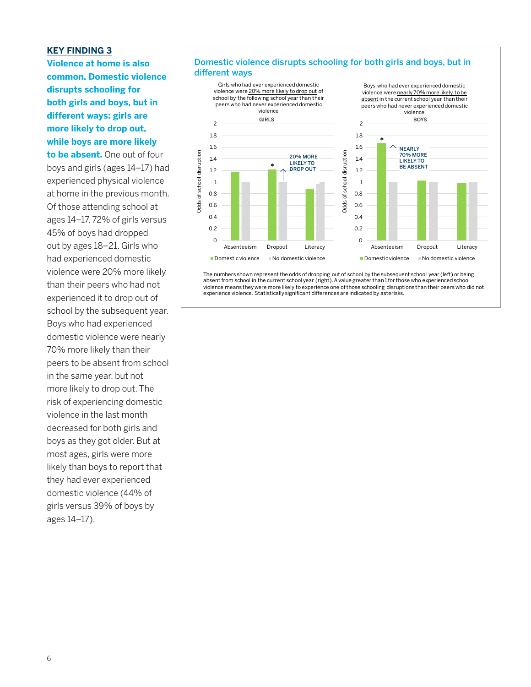#### **KEY FINDING 3**

**Violence at home is also common. Domestic violence disrupts schooling for both girls and boys, but in different ways: girls are more likely to drop out, while boys are more likely to be absent.** One out of four boys and girls (ages 14–17) had experienced physical violence at home in the previous month. Of those attending school at ages 14–17, 72% of girls versus 45% of boys had dropped out by ages 18–21. Girls who had experienced domestic violence were 20% more likely than their peers who had not experienced it to drop out of school by the subsequent year. Boys who had experienced domestic violence were nearly 70% more likely than their peers to be absent from school in the same year, but not more likely to drop out. The risk of experiencing domestic violence in the last month decreased for both girls and boys as they got older. But at most ages, girls were more likely than boys to report that they had ever experienced domestic violence (44% of girls versus 39% of boys by ages 14–17).

#### Domestic violence disrupts schooling for both girls and boys, but in different ways



The numbers shown represent the odds of dropping out of school by the subsequent school year (left) or being absent from school in the current school year (right). A value greater than 1 for those who experienced school<br>violence means they were more likely to experience one of those schooling disruptions than their peers who did experience violence. Statistically significant differences are indicated by asterisks.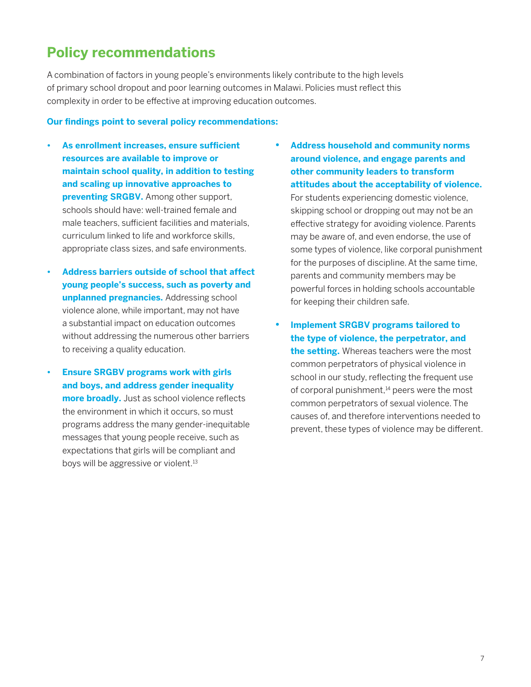### **Policy recommendations**

A combination of factors in young people's environments likely contribute to the high levels of primary school dropout and poor learning outcomes in Malawi. Policies must reflect this complexity in order to be effective at improving education outcomes.

#### **Our findings point to several policy recommendations:**

- **• As enrollment increases, ensure sufficient resources are available to improve or maintain school quality, in addition to testing and scaling up innovative approaches to preventing SRGBV.** Among other support, schools should have: well-trained female and male teachers, sufficient facilities and materials, curriculum linked to life and workforce skills, appropriate class sizes, and safe environments.
- **• Address barriers outside of school that affect young people's success, such as poverty and unplanned pregnancies.** Addressing school violence alone, while important, may not have a substantial impact on education outcomes without addressing the numerous other barriers to receiving a quality education.
- **• Ensure SRGBV programs work with girls and boys, and address gender inequality more broadly.** Just as school violence reflects the environment in which it occurs, so must programs address the many gender-inequitable messages that young people receive, such as expectations that girls will be compliant and boys will be aggressive or violent.<sup>13</sup>

**• Address household and community norms around violence, and engage parents and other community leaders to transform attitudes about the acceptability of violence.** 

For students experiencing domestic violence, skipping school or dropping out may not be an effective strategy for avoiding violence. Parents may be aware of, and even endorse, the use of some types of violence, like corporal punishment for the purposes of discipline. At the same time, parents and community members may be powerful forces in holding schools accountable for keeping their children safe.

**• Implement SRGBV programs tailored to the type of violence, the perpetrator, and the setting.** Whereas teachers were the most common perpetrators of physical violence in school in our study, reflecting the frequent use of corporal punishment,<sup>14</sup> peers were the most common perpetrators of sexual violence. The causes of, and therefore interventions needed to prevent, these types of violence may be different.